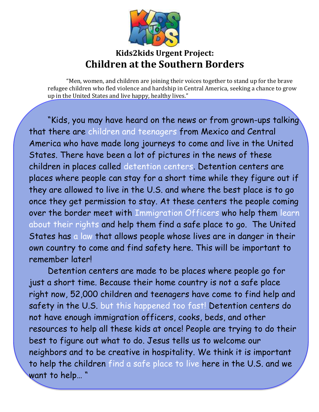

## **Kids2kids Urgent Project: Children at the Southern Borders**

"Men, women, and children are joining their voices together to stand up for the brave refugee children who fled violence and hardship in Central America, seeking a chance to grow up in the United States and live happy, healthy lives."

"Kids, you may have heard on the news or from grown-ups talking that there are children and teenagers from Mexico and Central America who have made long journeys to come and live in the United States. There have been a lot of pictures in the news of these children in places called detention centers. Detention centers are places where people can stay for a short time while they figure out if they are allowed to live in the U.S. and where the best place is to go once they get permission to stay. At these centers the people coming over the border meet with Immigration Officers who help them learn about their rights and help them find a safe place to go. The United States has a law that allows people whose lives are in danger in their own country to come and find safety here. This will be important to remember later!

Detention centers are made to be places where people go for just a short time. Because their home country is not a safe place right now, 52,000 children and teenagers have come to find help and safety in the U.S. but this happened too fast! Detention centers do not have enough immigration officers, cooks, beds, and other resources to help all these kids at once! People are trying to do their best to figure out what to do. Jesus tells us to welcome our neighbors and to be creative in hospitality. We think it is important to help the children find a safe place to live here in the U.S. and we want to help… "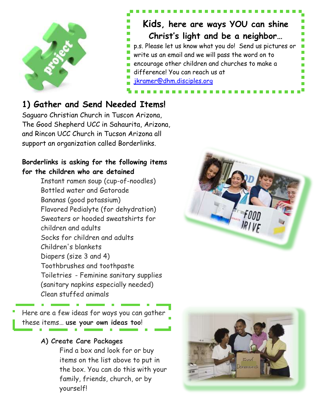

**Kids, here are ways YOU can shine Christ's light and be a neighbor…** p.s. Please let us know what you do! Send us pictures or write us an email and we will pass the word on to encourage other children and churches to make a difference! You can reach us at [jkramer@dhm.disciples.org](mailto:jkramer@dhm.disciples.org)

## **1) Gather and Send Needed Items!**

Saguaro Christian Church in Tuscon Arizona, The Good Shepherd UCC in Sahaurita, Arizona, and Rincon UCC Church in Tucson Arizona all support an organization called Borderlinks.

### **Borderlinks is asking for the following items for the children who are detained**

Instant ramen soup (cup-of-noodles) Bottled water and Gatorade Bananas (good potassium) Flavored Pedialyte (for dehydration) Sweaters or hooded sweatshirts for children and adults Socks for children and adults Children's blankets Diapers (size 3 and 4) Toothbrushes and toothpaste Toiletries - Feminine sanitary supplies (sanitary napkins especially needed) Clean stuffed animals

Here are a few ideas for ways you can gather these items… **use your own ideas too**!

## **A) Create Care Packages**

Find a box and look for or buy items on the list above to put in the box. You can do this with your family, friends, church, or by yourself!

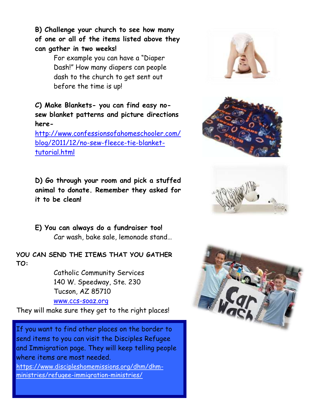**B) Challenge your church to see how many of one or all of the items listed above they can gather in two weeks!** 

> For example you can have a "Diaper Dash!" How many diapers can people dash to the church to get sent out before the time is up!

**C) Make Blankets- you can find easy nosew blanket patterns and picture directions here-**

[http://www.confessionsofahomeschooler.com/](http://www.confessionsofahomeschooler.com/blog/2011/12/no-sew-fleece-tie-blanket-tutorial.html) [blog/2011/12/no-sew-fleece-tie-blanket](http://www.confessionsofahomeschooler.com/blog/2011/12/no-sew-fleece-tie-blanket-tutorial.html)[tutorial.html](http://www.confessionsofahomeschooler.com/blog/2011/12/no-sew-fleece-tie-blanket-tutorial.html)

**D) Go through your room and pick a stuffed animal to donate. Remember they asked for it to be clean!** 

**E) You can always do a fundraiser too!** Car wash, bake sale, lemonade stand…

**YOU CAN SEND THE ITEMS THAT YOU GATHER TO:**

> Catholic Community Services 140 W. Speedway, Ste. 230 Tucson, AZ 85710

#### [www.ccs-soaz.org](http://www.ccs-soaz.org/Donations-to-Assist-Migrant-Women-and-Children.html)

They will make sure they get to the right places!

If you want to find other places on the border to send items to you can visit the Disciples Refugee and Immigration page. They will keep telling people where items are most needed.

[https://www.discipleshomemissions.org/dhm/dhm](https://www.discipleshomemissions.org/dhm/dhm-ministries/refugee-immigration-ministries/)[ministries/refugee-immigration-ministries/](https://www.discipleshomemissions.org/dhm/dhm-ministries/refugee-immigration-ministries/)







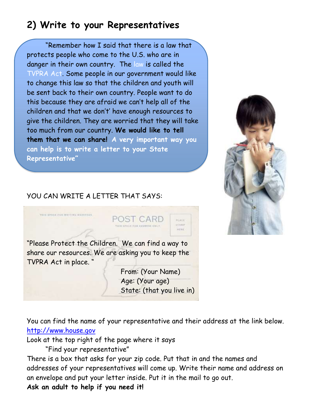# **2) Write to your Representatives**

"Remember how I said that there is a law that protects people who come to the U.S. who are in danger in their own country. The law is called the TVPRA Act. Some people in our government would like to change this law so that the children and youth will be sent back to their own country. People want to do this because they are afraid we can't help all of the children and that we don't' have enough resources to give the children. They are worried that they will take too much from our country. **We would like to tell them that we can share! A very important way you can help is to write a letter to your State Representative"**



### YOU CAN WRITE A LETTER THAT SAYS:



You can find the name of your representative and their address at the link below. [http://www.house.gov](http://www.house.gov/)

Look at the top right of the page where it says

"Find your representative"

There is a box that asks for your zip code. Put that in and the names and addresses of your representatives will come up. Write their name and address on an envelope and put your letter inside. Put it in the mail to go out.

**Ask an adult to help if you need it!**